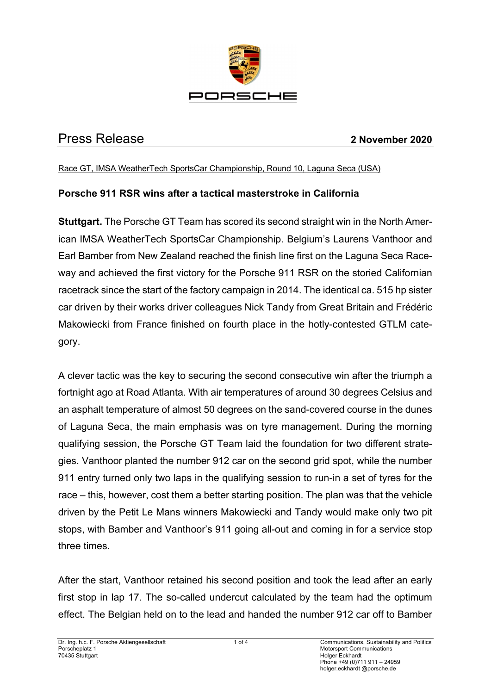

# Press Release **2 November 2020**

Race GT, IMSA WeatherTech SportsCar Championship, Round 10, Laguna Seca (USA)

# **Porsche 911 RSR wins after a tactical masterstroke in California**

**Stuttgart.** The Porsche GT Team has scored its second straight win in the North American IMSA WeatherTech SportsCar Championship. Belgium's Laurens Vanthoor and Earl Bamber from New Zealand reached the finish line first on the Laguna Seca Raceway and achieved the first victory for the Porsche 911 RSR on the storied Californian racetrack since the start of the factory campaign in 2014. The identical ca. 515 hp sister car driven by their works driver colleagues Nick Tandy from Great Britain and Frédéric Makowiecki from France finished on fourth place in the hotly-contested GTLM category.

A clever tactic was the key to securing the second consecutive win after the triumph a fortnight ago at Road Atlanta. With air temperatures of around 30 degrees Celsius and an asphalt temperature of almost 50 degrees on the sand-covered course in the dunes of Laguna Seca, the main emphasis was on tyre management. During the morning qualifying session, the Porsche GT Team laid the foundation for two different strategies. Vanthoor planted the number 912 car on the second grid spot, while the number 911 entry turned only two laps in the qualifying session to run-in a set of tyres for the race – this, however, cost them a better starting position. The plan was that the vehicle driven by the Petit Le Mans winners Makowiecki and Tandy would make only two pit stops, with Bamber and Vanthoor's 911 going all-out and coming in for a service stop three times.

After the start, Vanthoor retained his second position and took the lead after an early first stop in lap 17. The so-called undercut calculated by the team had the optimum effect. The Belgian held on to the lead and handed the number 912 car off to Bamber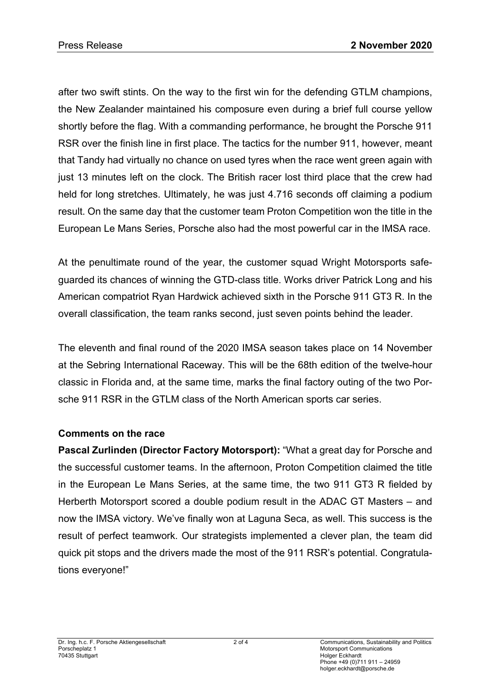after two swift stints. On the way to the first win for the defending GTLM champions, the New Zealander maintained his composure even during a brief full course yellow shortly before the flag. With a commanding performance, he brought the Porsche 911 RSR over the finish line in first place. The tactics for the number 911, however, meant that Tandy had virtually no chance on used tyres when the race went green again with just 13 minutes left on the clock. The British racer lost third place that the crew had held for long stretches. Ultimately, he was just 4.716 seconds off claiming a podium result. On the same day that the customer team Proton Competition won the title in the European Le Mans Series, Porsche also had the most powerful car in the IMSA race.

At the penultimate round of the year, the customer squad Wright Motorsports safeguarded its chances of winning the GTD-class title. Works driver Patrick Long and his American compatriot Ryan Hardwick achieved sixth in the Porsche 911 GT3 R. In the overall classification, the team ranks second, just seven points behind the leader.

The eleventh and final round of the 2020 IMSA season takes place on 14 November at the Sebring International Raceway. This will be the 68th edition of the twelve-hour classic in Florida and, at the same time, marks the final factory outing of the two Porsche 911 RSR in the GTLM class of the North American sports car series.

### **Comments on the race**

Pascal Zurlinden (Director Factory Motorsport): "What a great day for Porsche and the successful customer teams. In the afternoon, Proton Competition claimed the title in the European Le Mans Series, at the same time, the two 911 GT3 R fielded by Herberth Motorsport scored a double podium result in the ADAC GT Masters – and now the IMSA victory. We've finally won at Laguna Seca, as well. This success is the result of perfect teamwork. Our strategists implemented a clever plan, the team did quick pit stops and the drivers made the most of the 911 RSR's potential. Congratulations everyone!"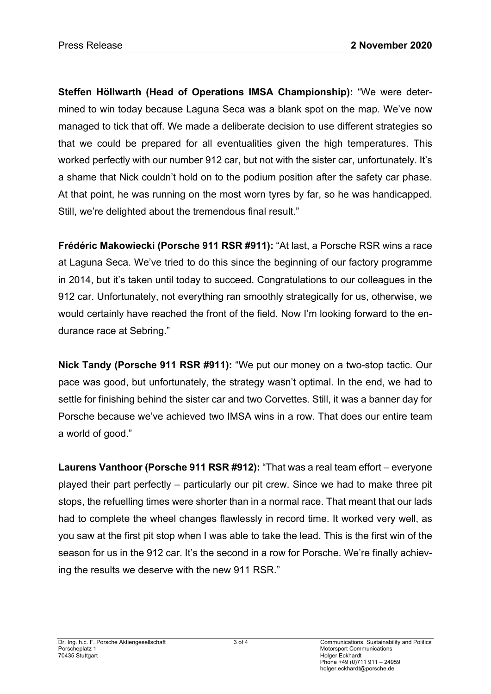**Steffen Höllwarth (Head of Operations IMSA Championship):** "We were determined to win today because Laguna Seca was a blank spot on the map. We've now managed to tick that off. We made a deliberate decision to use different strategies so that we could be prepared for all eventualities given the high temperatures. This worked perfectly with our number 912 car, but not with the sister car, unfortunately. It's a shame that Nick couldn't hold on to the podium position after the safety car phase. At that point, he was running on the most worn tyres by far, so he was handicapped. Still, we're delighted about the tremendous final result."

**Frédéric Makowiecki (Porsche 911 RSR #911):** "At last, a Porsche RSR wins a race at Laguna Seca. We've tried to do this since the beginning of our factory programme in 2014, but it's taken until today to succeed. Congratulations to our colleagues in the 912 car. Unfortunately, not everything ran smoothly strategically for us, otherwise, we would certainly have reached the front of the field. Now I'm looking forward to the endurance race at Sebring."

**Nick Tandy (Porsche 911 RSR #911):** "We put our money on a two-stop tactic. Our pace was good, but unfortunately, the strategy wasn't optimal. In the end, we had to settle for finishing behind the sister car and two Corvettes. Still, it was a banner day for Porsche because we've achieved two IMSA wins in a row. That does our entire team a world of good."

**Laurens Vanthoor (Porsche 911 RSR #912):** "That was a real team effort – everyone played their part perfectly – particularly our pit crew. Since we had to make three pit stops, the refuelling times were shorter than in a normal race. That meant that our lads had to complete the wheel changes flawlessly in record time. It worked very well, as you saw at the first pit stop when I was able to take the lead. This is the first win of the season for us in the 912 car. It's the second in a row for Porsche. We're finally achieving the results we deserve with the new 911 RSR."